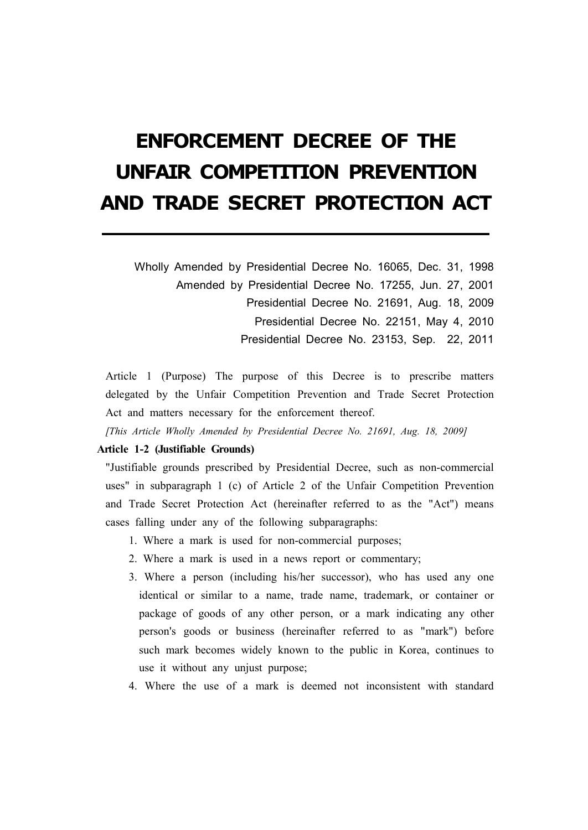# **ENFORCEMENT DECREE OF THE UNFAIR COMPETITION PREVENTION AND TRADE SECRET PROTECTION ACT**

Wholly Amended by Presidential Decree No. 16065, Dec. 31, 1998 Amended by Presidential Decree No. 17255, Jun. 27, 2001 Presidential Decree No. 21691, Aug. 18, 2009 Presidential Decree No. 22151, May 4, 2010 Presidential Decree No. 23153, Sep. 22, 2011

Article 1 (Purpose) The purpose of this Decree is to prescribe matters delegated by the Unfair Competition Prevention and Trade Secret Protection Act and matters necessary for the enforcement thereof.

*[This Article Wholly Amended by Presidential Decree No. 21691, Aug. 18, 2009]*

# **Article 1-2 (Justifiable Grounds)**

"Justifiable grounds prescribed by Presidential Decree, such as non-commercial uses" in subparagraph 1 (c) of Article 2 of the Unfair Competition Prevention and Trade Secret Protection Act (hereinafter referred to as the "Act") means cases falling under any of the following subparagraphs:

- 1. Where a mark is used for non-commercial purposes;
- 2. Where a mark is used in a news report or commentary;
- 3. Where a person (including his/her successor), who has used any one identical or similar to a name, trade name, trademark, or container or package of goods of any other person, or a mark indicating any other person's goods or business (hereinafter referred to as "mark") before such mark becomes widely known to the public in Korea, continues to use it without any unjust purpose;
- 4. Where the use of a mark is deemed not inconsistent with standard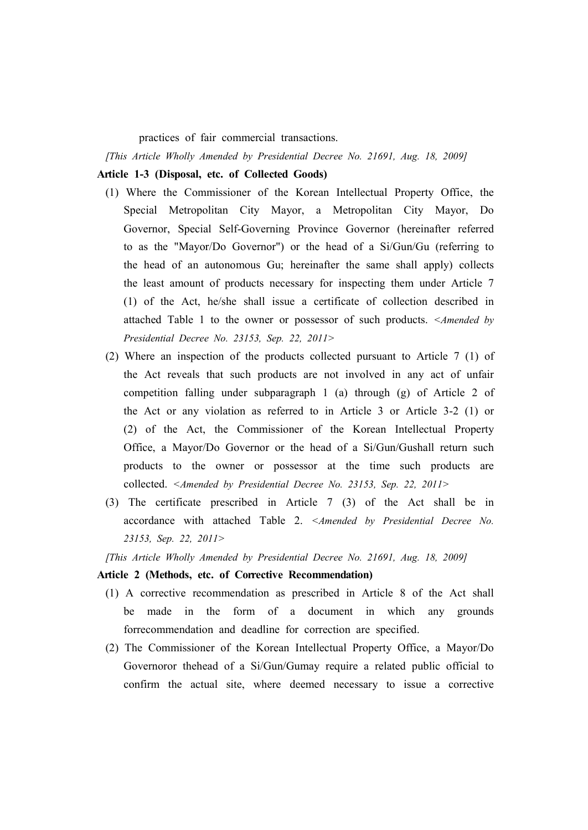practices of fair commercial transactions.

*[This Article Wholly Amended by Presidential Decree No. 21691, Aug. 18, 2009]*

# **Article 1-3 (Disposal, etc. of Collected Goods)**

- (1) Where the Commissioner of the Korean Intellectual Property Office, the Special Metropolitan City Mayor, a Metropolitan City Mayor, Do Governor, Special Self-Governing Province Governor (hereinafter referred to as the "Mayor/Do Governor") or the head of a Si/Gun/Gu (referring to the head of an autonomous Gu; hereinafter the same shall apply) collects the least amount of products necessary for inspecting them under Article 7 (1) of the Act, he/she shall issue a certificate of collection described in attached Table 1 to the owner or possessor of such products. *<Amended by Presidential Decree No. 23153, Sep. 22, 2011>*
- (2) Where an inspection of the products collected pursuant to Article 7 (1) of the Act reveals that such products are not involved in any act of unfair competition falling under subparagraph 1 (a) through (g) of Article 2 of the Act or any violation as referred to in Article 3 or Article 3-2 (1) or (2) of the Act, the Commissioner of the Korean Intellectual Property Office, a Mayor/Do Governor or the head of a Si/Gun/Gushall return such products to the owner or possessor at the time such products are collected. *<Amended by Presidential Decree No. 23153, Sep. 22, 2011>*
- (3) The certificate prescribed in Article 7 (3) of the Act shall be in accordance with attached Table 2. *<Amended by Presidential Decree No. 23153, Sep. 22, 2011>*

*[This Article Wholly Amended by Presidential Decree No. 21691, Aug. 18, 2009]*

#### **Article 2 (Methods, etc. of Corrective Recommendation)**

- (1) A corrective recommendation as prescribed in Article 8 of the Act shall be made in the form of a document in which any grounds forrecommendation and deadline for correction are specified.
- (2) The Commissioner of the Korean Intellectual Property Office, a Mayor/Do Governoror thehead of a Si/Gun/Gumay require a related public official to confirm the actual site, where deemed necessary to issue a corrective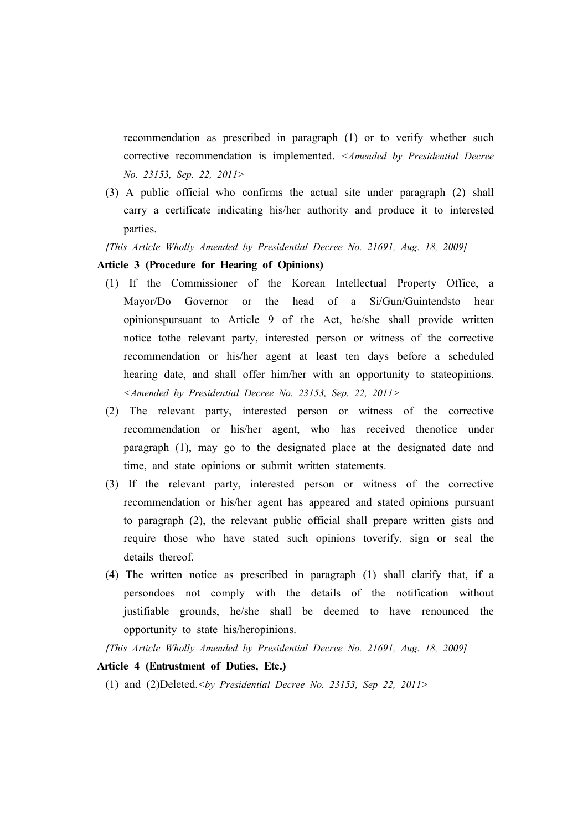recommendation as prescribed in paragraph (1) or to verify whether such corrective recommendation is implemented. *<Amended by Presidential Decree No. 23153, Sep. 22, 2011>*

(3) A public official who confirms the actual site under paragraph (2) shall carry a certificate indicating his/her authority and produce it to interested parties.

*[This Article Wholly Amended by Presidential Decree No. 21691, Aug. 18, 2009]*

# **Article 3 (Procedure for Hearing of Opinions)**

- (1) If the Commissioner of the Korean Intellectual Property Office, a Mayor/Do Governor or the head of a Si/Gun/Guintendsto hear opinionspursuant to Article 9 of the Act, he/she shall provide written notice tothe relevant party, interested person or witness of the corrective recommendation or his/her agent at least ten days before a scheduled hearing date, and shall offer him/her with an opportunity to stateopinions. *<Amended by Presidential Decree No. 23153, Sep. 22, 2011>*
- (2) The relevant party, interested person or witness of the corrective recommendation or his/her agent, who has received thenotice under paragraph (1), may go to the designated place at the designated date and time, and state opinions or submit written statements.
- (3) If the relevant party, interested person or witness of the corrective recommendation or his/her agent has appeared and stated opinions pursuant to paragraph (2), the relevant public official shall prepare written gists and require those who have stated such opinions toverify, sign or seal the details thereof.
- (4) The written notice as prescribed in paragraph (1) shall clarify that, if a persondoes not comply with the details of the notification without justifiable grounds, he/she shall be deemed to have renounced the opportunity to state his/heropinions.

*[This Article Wholly Amended by Presidential Decree No. 21691, Aug. 18, 2009]*

# **Article 4 (Entrustment of Duties, Etc.)**

(1) and (2)Deleted.*<by Presidential Decree No. 23153, Sep 22, 2011>*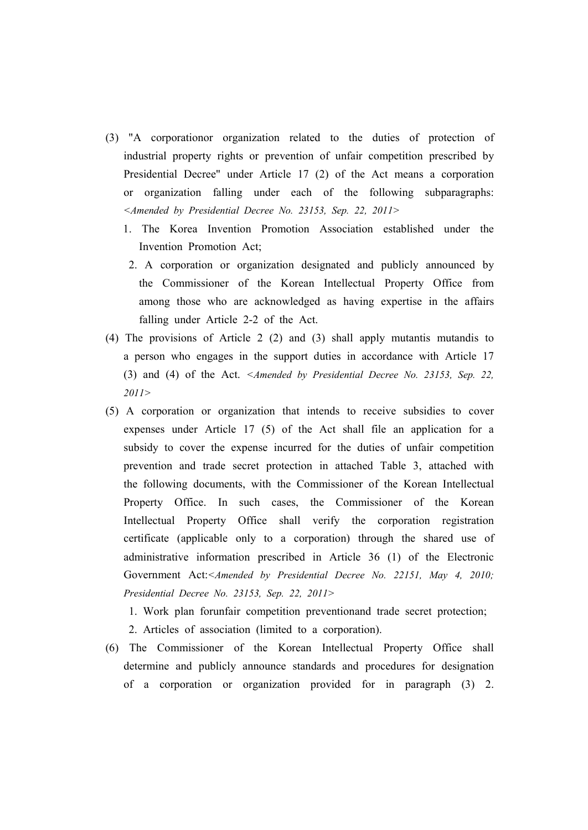- (3) "A corporationor organization related to the duties of protection of industrial property rights or prevention of unfair competition prescribed by Presidential Decree" under Article 17 (2) of the Act means a corporation or organization falling under each of the following subparagraphs: *<Amended by Presidential Decree No. 23153, Sep. 22, 2011>*
	- 1. The Korea Invention Promotion Association established under the Invention Promotion Act;
	- 2. A corporation or organization designated and publicly announced by the Commissioner of the Korean Intellectual Property Office from among those who are acknowledged as having expertise in the affairs falling under Article 2-2 of the Act.
- (4) The provisions of Article 2 (2) and (3) shall apply mutantis mutandis to a person who engages in the support duties in accordance with Article 17 (3) and (4) of the Act. *<Amended by Presidential Decree No. 23153, Sep. 22, 2011>*
- (5) A corporation or organization that intends to receive subsidies to cover expenses under Article 17 (5) of the Act shall file an application for a subsidy to cover the expense incurred for the duties of unfair competition prevention and trade secret protection in attached Table 3, attached with the following documents, with the Commissioner of the Korean Intellectual Property Office. In such cases, the Commissioner of the Korean Intellectual Property Office shall verify the corporation registration certificate (applicable only to a corporation) through the shared use of administrative information prescribed in Article 36 (1) of the Electronic Government Act:*<Amended by Presidential Decree No. 22151, May 4, 2010; Presidential Decree No. 23153, Sep. 22, 2011>*

1. Work plan forunfair competition preventionand trade secret protection; 2. Articles of association (limited to a corporation).

(6) The Commissioner of the Korean Intellectual Property Office shall determine and publicly announce standards and procedures for designation of a corporation or organization provided for in paragraph (3) 2.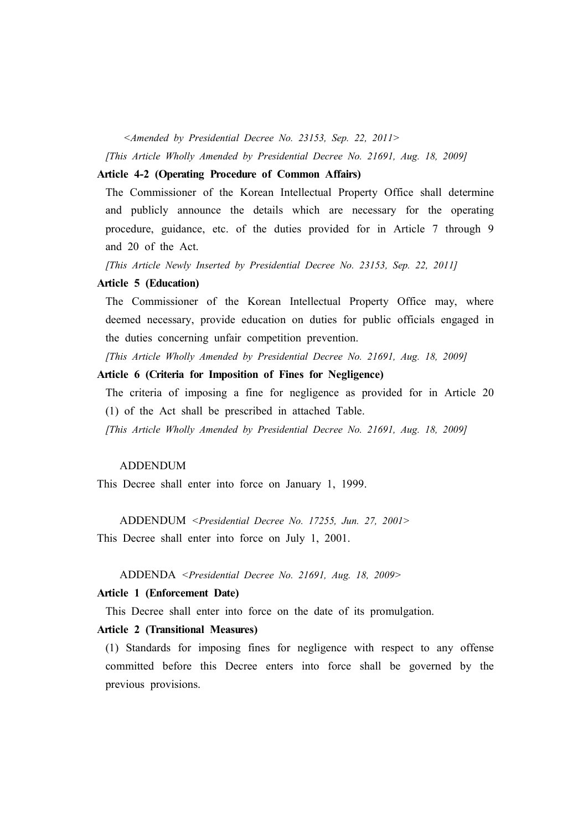*<Amended by Presidential Decree No. 23153, Sep. 22, 2011>*

*[This Article Wholly Amended by Presidential Decree No. 21691, Aug. 18, 2009]*

#### **Article 4-2 (Operating Procedure of Common Affairs)**

The Commissioner of the Korean Intellectual Property Office shall determine and publicly announce the details which are necessary for the operating procedure, guidance, etc. of the duties provided for in Article 7 through 9 and 20 of the Act.

*[This Article Newly Inserted by Presidential Decree No. 23153, Sep. 22, 2011]*

#### **Article 5 (Education)**

The Commissioner of the Korean Intellectual Property Office may, where deemed necessary, provide education on duties for public officials engaged in the duties concerning unfair competition prevention.

*[This Article Wholly Amended by Presidential Decree No. 21691, Aug. 18, 2009]*

### **Article 6 (Criteria for Imposition of Fines for Negligence)**

The criteria of imposing a fine for negligence as provided for in Article 20 (1) of the Act shall be prescribed in attached Table.

*[This Article Wholly Amended by Presidential Decree No. 21691, Aug. 18, 2009]*

#### ADDENDUM

This Decree shall enter into force on January 1, 1999.

ADDENDUM *<Presidential Decree No. 17255, Jun. 27, 2001>* This Decree shall enter into force on July 1, 2001.

## ADDENDA *<Presidential Decree No. 21691, Aug. 18, 2009>*

# **Article 1 (Enforcement Date)**

This Decree shall enter into force on the date of its promulgation.

#### **Article 2 (Transitional Measures)**

(1) Standards for imposing fines for negligence with respect to any offense committed before this Decree enters into force shall be governed by the previous provisions.